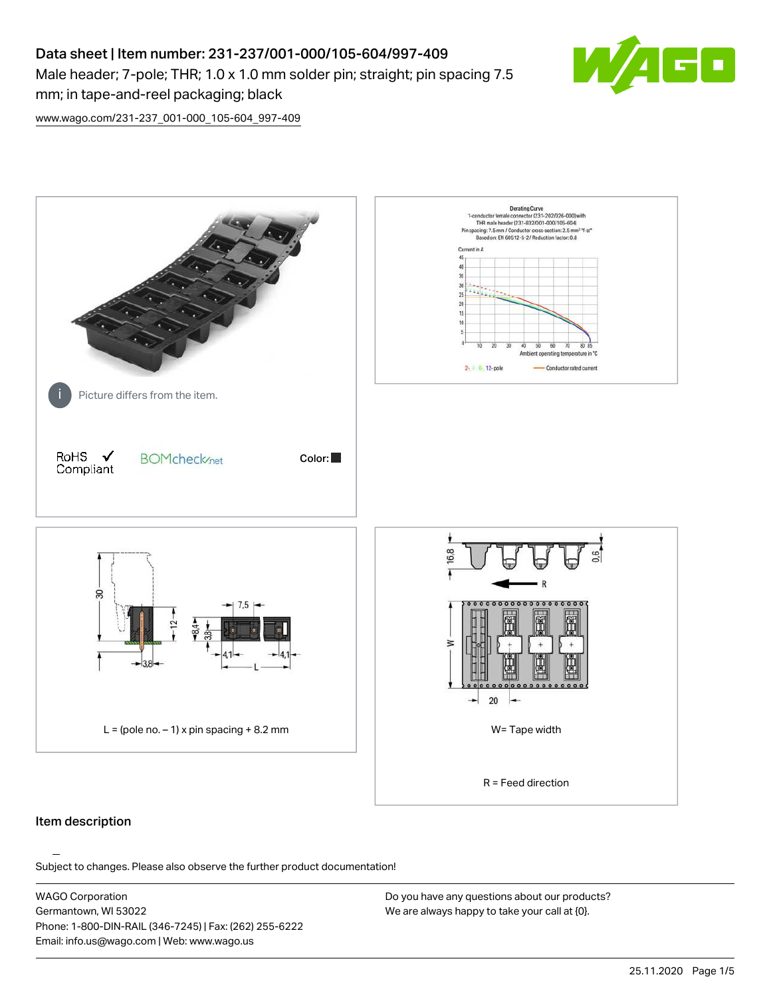# Data sheet | Item number: 231-237/001-000/105-604/997-409 Male header; 7-pole; THR; 1.0 x 1.0 mm solder pin; straight; pin spacing 7.5 mm; in tape-and-reel packaging; black



[www.wago.com/231-237\\_001-000\\_105-604\\_997-409](http://www.wago.com/231-237_001-000_105-604_997-409)



#### Item description

Subject to changes. Please also observe the further product documentation!

WAGO Corporation Germantown, WI 53022 Phone: 1-800-DIN-RAIL (346-7245) | Fax: (262) 255-6222 Email: info.us@wago.com | Web: www.wago.us

Do you have any questions about our products? We are always happy to take your call at {0}.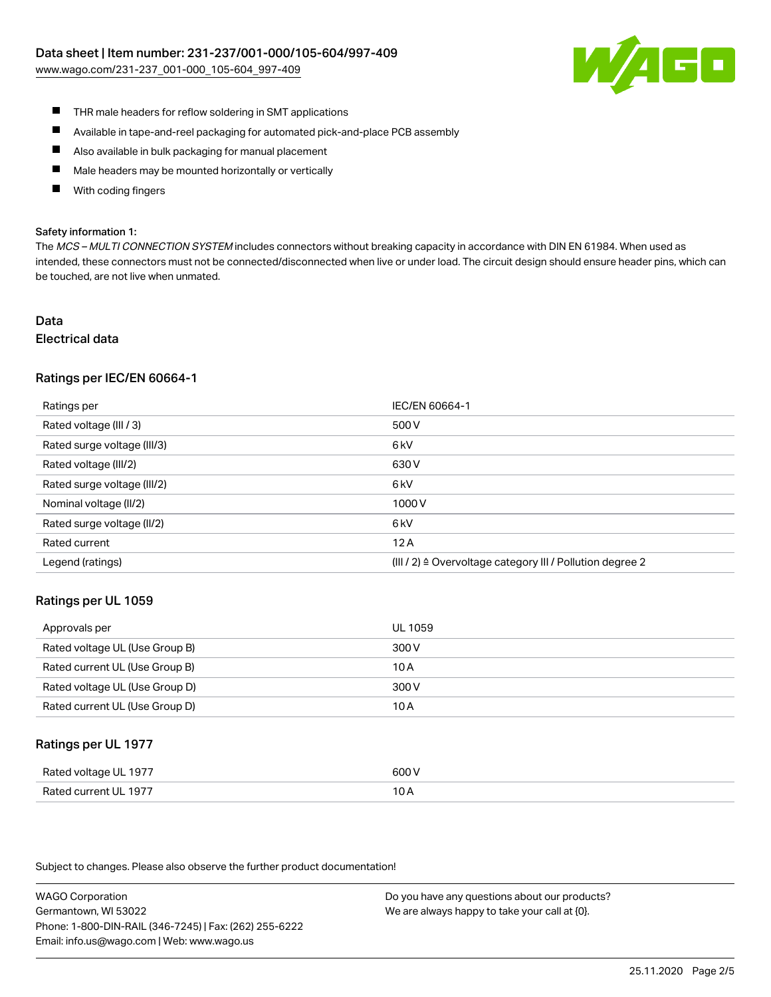

- $\blacksquare$ THR male headers for reflow soldering in SMT applications
- $\blacksquare$ Available in tape-and-reel packaging for automated pick-and-place PCB assembly
- $\blacksquare$ Also available in bulk packaging for manual placement
- П Male headers may be mounted horizontally or vertically
- П With coding fingers

#### Safety information 1:

The MCS - MULTI CONNECTION SYSTEM includes connectors without breaking capacity in accordance with DIN EN 61984. When used as intended, these connectors must not be connected/disconnected when live or under load. The circuit design should ensure header pins, which can be touched, are not live when unmated.

#### Data Electrical data

#### Ratings per IEC/EN 60664-1

| Ratings per                 | IEC/EN 60664-1                                                       |
|-----------------------------|----------------------------------------------------------------------|
| Rated voltage (III / 3)     | 500 V                                                                |
| Rated surge voltage (III/3) | 6 <sub>kV</sub>                                                      |
| Rated voltage (III/2)       | 630 V                                                                |
| Rated surge voltage (III/2) | 6 <sub>kV</sub>                                                      |
| Nominal voltage (II/2)      | 1000V                                                                |
| Rated surge voltage (II/2)  | 6 <sub>kV</sub>                                                      |
| Rated current               | 12A                                                                  |
| Legend (ratings)            | (III / 2) $\triangleq$ Overvoltage category III / Pollution degree 2 |

#### Ratings per UL 1059

| Approvals per                  | UL 1059 |
|--------------------------------|---------|
| Rated voltage UL (Use Group B) | 300 V   |
| Rated current UL (Use Group B) | 10 A    |
| Rated voltage UL (Use Group D) | 300 V   |
| Rated current UL (Use Group D) | 10 A    |

#### Ratings per UL 1977

| Rated voltage UL 1977    | coo V |
|--------------------------|-------|
| Current UL 1977<br>Rated | IUF   |

Subject to changes. Please also observe the further product documentation!

WAGO Corporation Germantown, WI 53022 Phone: 1-800-DIN-RAIL (346-7245) | Fax: (262) 255-6222 Email: info.us@wago.com | Web: www.wago.us

Do you have any questions about our products? We are always happy to take your call at {0}.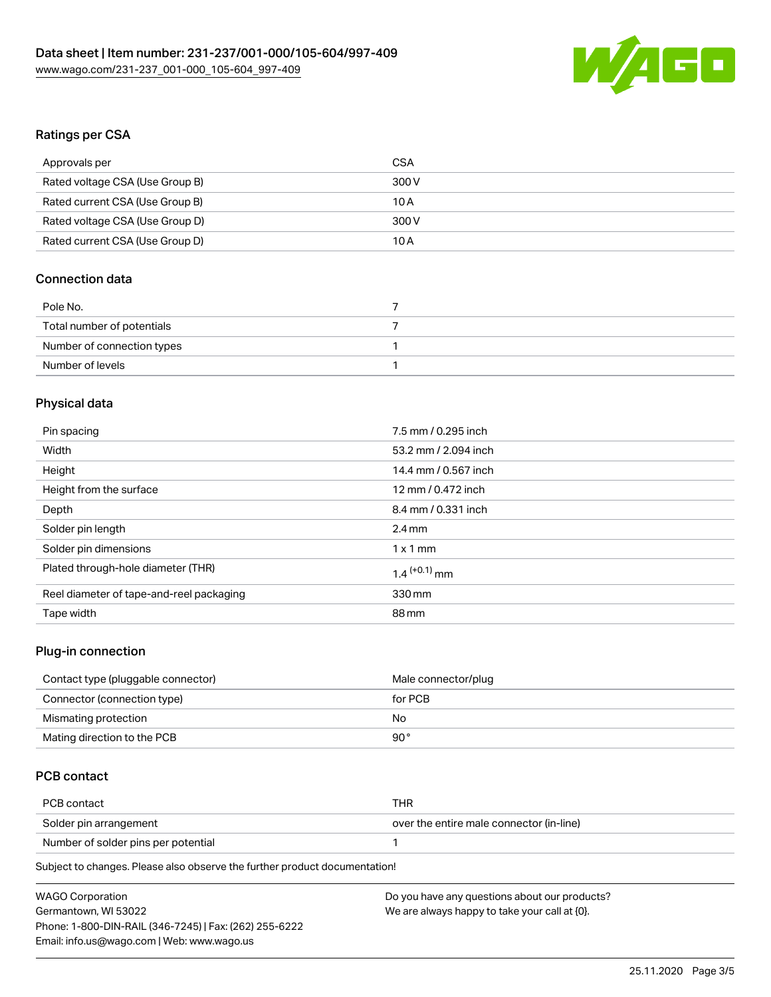

# Ratings per CSA

| Approvals per                   | CSA   |
|---------------------------------|-------|
| Rated voltage CSA (Use Group B) | 300 V |
| Rated current CSA (Use Group B) | 10 A  |
| Rated voltage CSA (Use Group D) | 300 V |
| Rated current CSA (Use Group D) | 10 A  |

# Connection data

| Pole No.                   |  |
|----------------------------|--|
| Total number of potentials |  |
| Number of connection types |  |
| Number of levels           |  |

# Physical data

| Pin spacing                              | 7.5 mm / 0.295 inch        |
|------------------------------------------|----------------------------|
| Width                                    | 53.2 mm / 2.094 inch       |
| Height                                   | 14.4 mm / 0.567 inch       |
| Height from the surface                  | 12 mm / 0.472 inch         |
| Depth                                    | 8.4 mm / 0.331 inch        |
| Solder pin length                        | $2.4 \text{ mm}$           |
| Solder pin dimensions                    | $1 \times 1$ mm            |
| Plated through-hole diameter (THR)       | $1.4$ <sup>(+0.1)</sup> mm |
| Reel diameter of tape-and-reel packaging | 330 mm                     |
| Tape width                               | 88 mm                      |
|                                          |                            |

# Plug-in connection

| Contact type (pluggable connector) | Male connector/plug |
|------------------------------------|---------------------|
| Connector (connection type)        | for PCB             |
| Mismating protection               | No                  |
| Mating direction to the PCB        | 90°                 |

# PCB contact

| PCB contact                         | THR                                      |
|-------------------------------------|------------------------------------------|
| Solder pin arrangement              | over the entire male connector (in-line) |
| Number of solder pins per potential |                                          |

Subject to changes. Please also observe the further product documentation!

| <b>WAGO Corporation</b>                                | Do you have any questions about our products? |
|--------------------------------------------------------|-----------------------------------------------|
| Germantown, WI 53022                                   | We are always happy to take your call at {0}. |
| Phone: 1-800-DIN-RAIL (346-7245)   Fax: (262) 255-6222 |                                               |
| Email: info.us@wago.com   Web: www.wago.us             |                                               |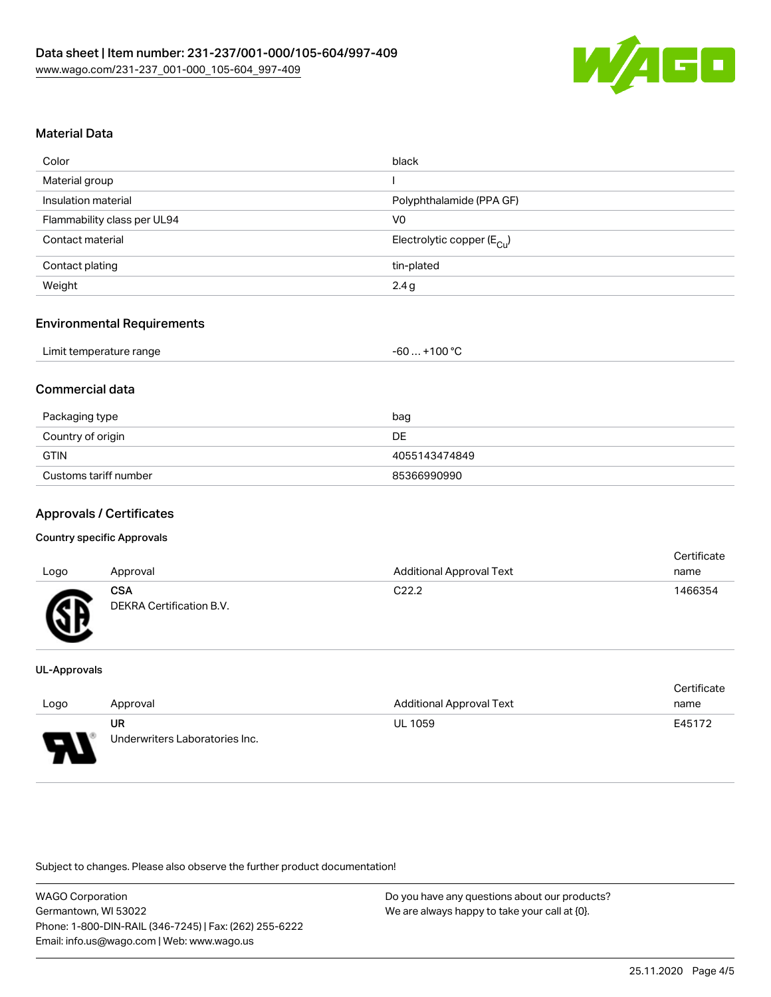

## Material Data

| Color                       | black                                 |
|-----------------------------|---------------------------------------|
| Material group              |                                       |
| Insulation material         | Polyphthalamide (PPA GF)              |
| Flammability class per UL94 | V <sub>0</sub>                        |
| Contact material            | Electrolytic copper $(E_{\text{Cl}})$ |
| Contact plating             | tin-plated                            |
| Weight                      | 2.4 g                                 |

#### Environmental Requirements

|  | Limit temperature range | $-60+100 °C$ |
|--|-------------------------|--------------|
|--|-------------------------|--------------|

# Commercial data

| Packaging type        | bag           |
|-----------------------|---------------|
| Country of origin     | DE            |
| <b>GTIN</b>           | 4055143474849 |
| Customs tariff number | 85366990990   |

# Approvals / Certificates

#### Country specific Approvals

| Logo | Approval                               | <b>Additional Approval Text</b> | Certificate<br>name |
|------|----------------------------------------|---------------------------------|---------------------|
| Æ    | <b>CSA</b><br>DEKRA Certification B.V. | C <sub>22.2</sub>               | 1466354             |

#### UL-Approvals

| Logo | Approval                       | Additional Approval Text | Certificate<br>name |
|------|--------------------------------|--------------------------|---------------------|
|      | UR                             | <b>UL 1059</b>           | E45172              |
| D    | Underwriters Laboratories Inc. |                          |                     |

Subject to changes. Please also observe the further product documentation!

| <b>WAGO Corporation</b>                                | Do vo |
|--------------------------------------------------------|-------|
| Germantown, WI 53022                                   | We a  |
| Phone: 1-800-DIN-RAIL (346-7245)   Fax: (262) 255-6222 |       |
| Email: info.us@wago.com   Web: www.wago.us             |       |

ou have any questions about our products? re always happy to take your call at {0}.